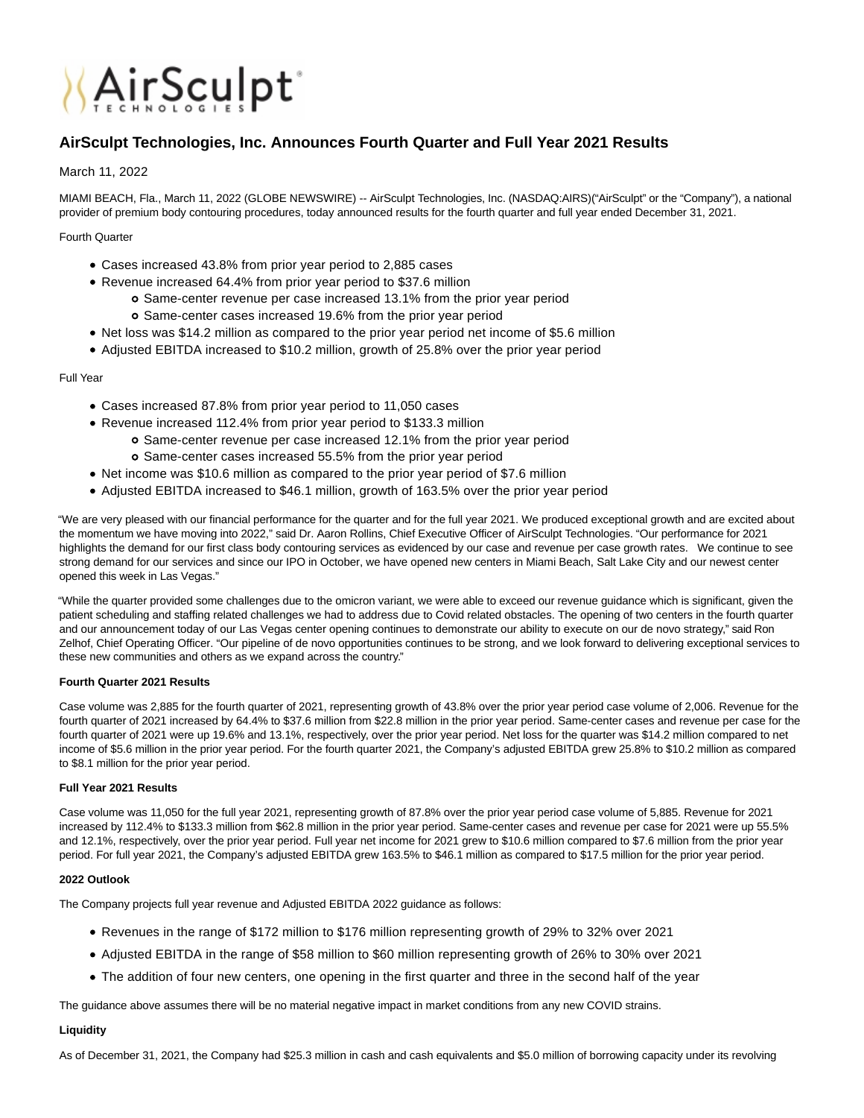

# **AirSculpt Technologies, Inc. Announces Fourth Quarter and Full Year 2021 Results**

# March 11, 2022

MIAMI BEACH, Fla., March 11, 2022 (GLOBE NEWSWIRE) -- AirSculpt Technologies, Inc. (NASDAQ:AIRS)("AirSculpt" or the "Company"), a national provider of premium body contouring procedures, today announced results for the fourth quarter and full year ended December 31, 2021.

Fourth Quarter

- Cases increased 43.8% from prior year period to 2,885 cases
- Revenue increased 64.4% from prior year period to \$37.6 million
	- Same-center revenue per case increased 13.1% from the prior year period
	- Same-center cases increased 19.6% from the prior year period
- Net loss was \$14.2 million as compared to the prior year period net income of \$5.6 million
- Adjusted EBITDA increased to \$10.2 million, growth of 25.8% over the prior year period

Full Year

- Cases increased 87.8% from prior year period to 11,050 cases
- Revenue increased 112.4% from prior year period to \$133.3 million
	- o Same-center revenue per case increased 12.1% from the prior year period
	- Same-center cases increased 55.5% from the prior year period
- Net income was \$10.6 million as compared to the prior year period of \$7.6 million
- Adjusted EBITDA increased to \$46.1 million, growth of 163.5% over the prior year period

"We are very pleased with our financial performance for the quarter and for the full year 2021. We produced exceptional growth and are excited about the momentum we have moving into 2022," said Dr. Aaron Rollins, Chief Executive Officer of AirSculpt Technologies. "Our performance for 2021 highlights the demand for our first class body contouring services as evidenced by our case and revenue per case growth rates. We continue to see strong demand for our services and since our IPO in October, we have opened new centers in Miami Beach, Salt Lake City and our newest center opened this week in Las Vegas."

"While the quarter provided some challenges due to the omicron variant, we were able to exceed our revenue guidance which is significant, given the patient scheduling and staffing related challenges we had to address due to Covid related obstacles. The opening of two centers in the fourth quarter and our announcement today of our Las Vegas center opening continues to demonstrate our ability to execute on our de novo strategy," said Ron Zelhof, Chief Operating Officer. "Our pipeline of de novo opportunities continues to be strong, and we look forward to delivering exceptional services to these new communities and others as we expand across the country."

# **Fourth Quarter 2021 Results**

Case volume was 2,885 for the fourth quarter of 2021, representing growth of 43.8% over the prior year period case volume of 2,006. Revenue for the fourth quarter of 2021 increased by 64.4% to \$37.6 million from \$22.8 million in the prior year period. Same-center cases and revenue per case for the fourth quarter of 2021 were up 19.6% and 13.1%, respectively, over the prior year period. Net loss for the quarter was \$14.2 million compared to net income of \$5.6 million in the prior year period. For the fourth quarter 2021, the Company's adjusted EBITDA grew 25.8% to \$10.2 million as compared to \$8.1 million for the prior year period.

# **Full Year 2021 Results**

Case volume was 11,050 for the full year 2021, representing growth of 87.8% over the prior year period case volume of 5,885. Revenue for 2021 increased by 112.4% to \$133.3 million from \$62.8 million in the prior year period. Same-center cases and revenue per case for 2021 were up 55.5% and 12.1%, respectively, over the prior year period. Full year net income for 2021 grew to \$10.6 million compared to \$7.6 million from the prior year period. For full year 2021, the Company's adjusted EBITDA grew 163.5% to \$46.1 million as compared to \$17.5 million for the prior year period.

# **2022 Outlook**

The Company projects full year revenue and Adjusted EBITDA 2022 guidance as follows:

- Revenues in the range of \$172 million to \$176 million representing growth of 29% to 32% over 2021
- Adjusted EBITDA in the range of \$58 million to \$60 million representing growth of 26% to 30% over 2021
- The addition of four new centers, one opening in the first quarter and three in the second half of the year

The guidance above assumes there will be no material negative impact in market conditions from any new COVID strains.

# **Liquidity**

As of December 31, 2021, the Company had \$25.3 million in cash and cash equivalents and \$5.0 million of borrowing capacity under its revolving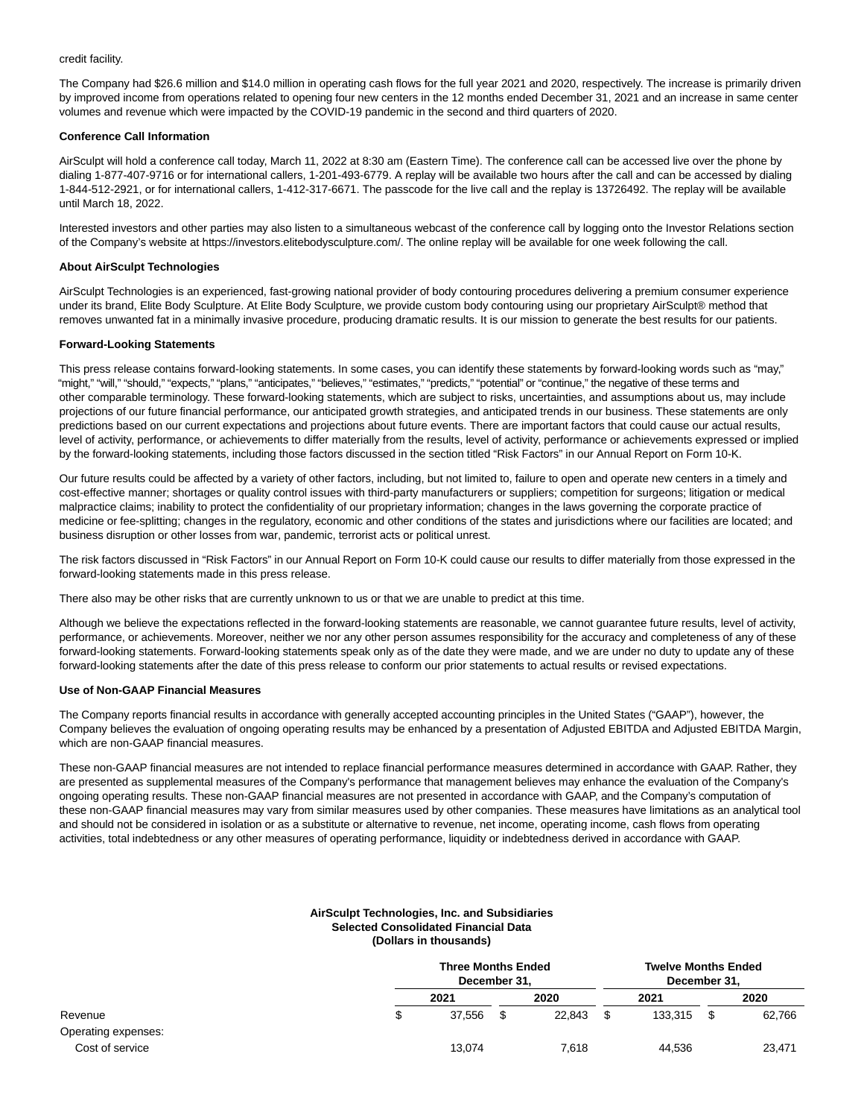#### credit facility.

The Company had \$26.6 million and \$14.0 million in operating cash flows for the full year 2021 and 2020, respectively. The increase is primarily driven by improved income from operations related to opening four new centers in the 12 months ended December 31, 2021 and an increase in same center volumes and revenue which were impacted by the COVID-19 pandemic in the second and third quarters of 2020.

### **Conference Call Information**

AirSculpt will hold a conference call today, March 11, 2022 at 8:30 am (Eastern Time). The conference call can be accessed live over the phone by dialing 1-877-407-9716 or for international callers, 1-201-493-6779. A replay will be available two hours after the call and can be accessed by dialing 1-844-512-2921, or for international callers, 1-412-317-6671. The passcode for the live call and the replay is 13726492. The replay will be available until March 18, 2022.

Interested investors and other parties may also listen to a simultaneous webcast of the conference call by logging onto the Investor Relations section of the Company's website at https://investors.elitebodysculpture.com/. The online replay will be available for one week following the call.

#### **About AirSculpt Technologies**

AirSculpt Technologies is an experienced, fast-growing national provider of body contouring procedures delivering a premium consumer experience under its brand, Elite Body Sculpture. At Elite Body Sculpture, we provide custom body contouring using our proprietary AirSculpt® method that removes unwanted fat in a minimally invasive procedure, producing dramatic results. It is our mission to generate the best results for our patients.

#### **Forward-Looking Statements**

This press release contains forward-looking statements. In some cases, you can identify these statements by forward-looking words such as "may," "might," "will," "should," "expects," "plans," "anticipates," "believes," "estimates," "predicts," "potential" or "continue," the negative of these terms and other comparable terminology. These forward-looking statements, which are subject to risks, uncertainties, and assumptions about us, may include projections of our future financial performance, our anticipated growth strategies, and anticipated trends in our business. These statements are only predictions based on our current expectations and projections about future events. There are important factors that could cause our actual results, level of activity, performance, or achievements to differ materially from the results, level of activity, performance or achievements expressed or implied by the forward-looking statements, including those factors discussed in the section titled "Risk Factors" in our Annual Report on Form 10-K.

Our future results could be affected by a variety of other factors, including, but not limited to, failure to open and operate new centers in a timely and cost-effective manner; shortages or quality control issues with third-party manufacturers or suppliers; competition for surgeons; litigation or medical malpractice claims; inability to protect the confidentiality of our proprietary information; changes in the laws governing the corporate practice of medicine or fee-splitting; changes in the regulatory, economic and other conditions of the states and jurisdictions where our facilities are located; and business disruption or other losses from war, pandemic, terrorist acts or political unrest.

The risk factors discussed in "Risk Factors" in our Annual Report on Form 10-K could cause our results to differ materially from those expressed in the forward-looking statements made in this press release.

There also may be other risks that are currently unknown to us or that we are unable to predict at this time.

Although we believe the expectations reflected in the forward-looking statements are reasonable, we cannot guarantee future results, level of activity, performance, or achievements. Moreover, neither we nor any other person assumes responsibility for the accuracy and completeness of any of these forward-looking statements. Forward-looking statements speak only as of the date they were made, and we are under no duty to update any of these forward-looking statements after the date of this press release to conform our prior statements to actual results or revised expectations.

#### **Use of Non-GAAP Financial Measures**

The Company reports financial results in accordance with generally accepted accounting principles in the United States ("GAAP"), however, the Company believes the evaluation of ongoing operating results may be enhanced by a presentation of Adjusted EBITDA and Adjusted EBITDA Margin, which are non-GAAP financial measures.

These non-GAAP financial measures are not intended to replace financial performance measures determined in accordance with GAAP. Rather, they are presented as supplemental measures of the Company's performance that management believes may enhance the evaluation of the Company's ongoing operating results. These non-GAAP financial measures are not presented in accordance with GAAP, and the Company's computation of these non-GAAP financial measures may vary from similar measures used by other companies. These measures have limitations as an analytical tool and should not be considered in isolation or as a substitute or alternative to revenue, net income, operating income, cash flows from operating activities, total indebtedness or any other measures of operating performance, liquidity or indebtedness derived in accordance with GAAP.

#### **AirSculpt Technologies, Inc. and Subsidiaries Selected Consolidated Financial Data (Dollars in thousands)**

|                     | <b>Three Months Ended</b><br>December 31, |        | <b>Twelve Months Ended</b><br>December 31. |         |  |        |  |
|---------------------|-------------------------------------------|--------|--------------------------------------------|---------|--|--------|--|
|                     | 2021                                      | 2020   |                                            | 2021    |  | 2020   |  |
| Revenue             | \$<br>37.556                              | 22.843 |                                            | 133,315 |  | 62,766 |  |
| Operating expenses: |                                           |        |                                            |         |  |        |  |
| Cost of service     | 13,074                                    | 7.618  |                                            | 44,536  |  | 23,471 |  |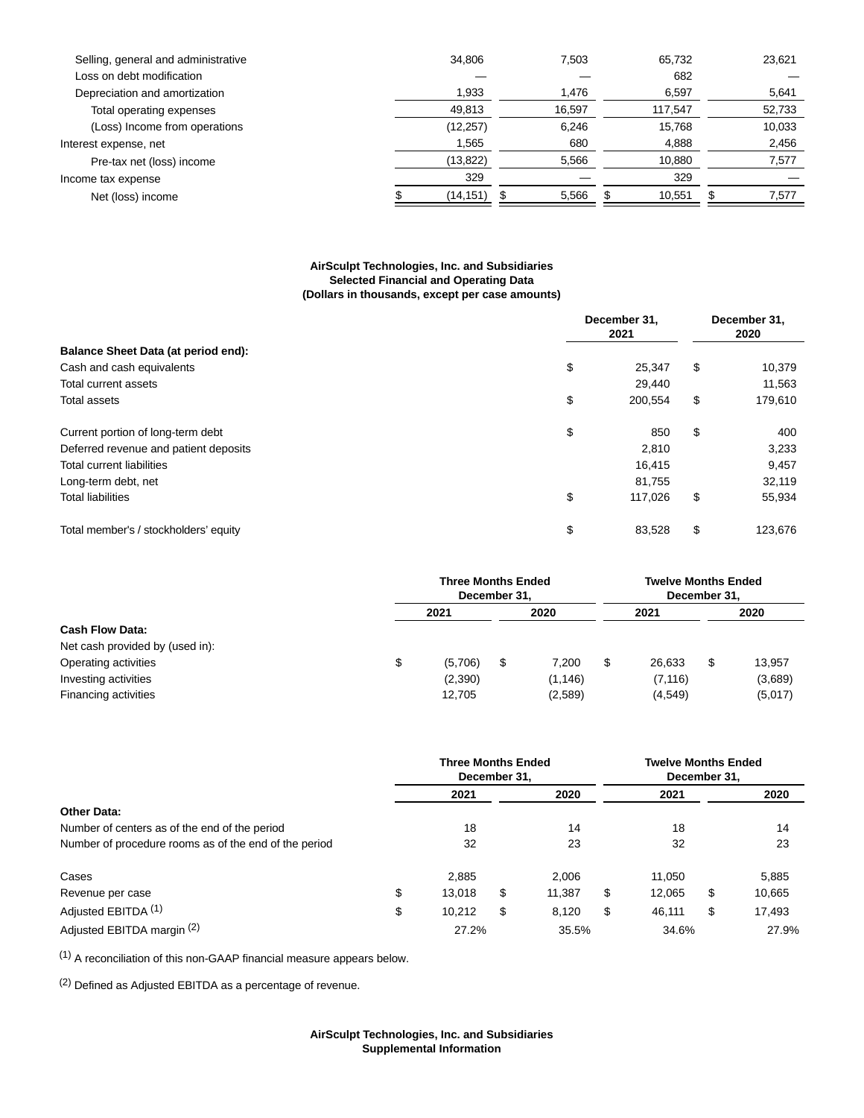| Selling, general and administrative | 34.806    | 7,503  | 65,732  | 23,621 |
|-------------------------------------|-----------|--------|---------|--------|
| Loss on debt modification           |           |        | 682     |        |
| Depreciation and amortization       | 1,933     | 1.476  | 6,597   | 5,641  |
| Total operating expenses            | 49,813    | 16,597 | 117.547 | 52,733 |
| (Loss) Income from operations       | (12, 257) | 6.246  | 15,768  | 10,033 |
| Interest expense, net               | 1,565     | 680    | 4,888   | 2,456  |
| Pre-tax net (loss) income           | (13,822)  | 5,566  | 10,880  | 7,577  |
| Income tax expense                  | 329       |        | 329     |        |
| Net (loss) income                   | (14, 151) | 5,566  | 10,551  | 7,577  |

# **AirSculpt Technologies, Inc. and Subsidiaries Selected Financial and Operating Data (Dollars in thousands, except per case amounts)**

|                                            | December 31,<br>2021 | December 31.<br>2020 |         |
|--------------------------------------------|----------------------|----------------------|---------|
| <b>Balance Sheet Data (at period end):</b> |                      |                      |         |
| Cash and cash equivalents                  | \$<br>25,347         | \$                   | 10,379  |
| Total current assets                       | 29,440               |                      | 11,563  |
| <b>Total assets</b>                        | \$<br>200,554        | \$                   | 179,610 |
| Current portion of long-term debt          | \$<br>850            | \$                   | 400     |
| Deferred revenue and patient deposits      | 2,810                |                      | 3,233   |
| <b>Total current liabilities</b>           | 16,415               |                      | 9,457   |
| Long-term debt, net                        | 81,755               |                      | 32,119  |
| <b>Total liabilities</b>                   | \$<br>117,026        | \$                   | 55,934  |
| Total member's / stockholders' equity      | \$<br>83,528         | \$                   | 123,676 |

|                                 | <b>Three Months Ended</b><br>December 31. |    |          |  |          | <b>Twelve Months Ended</b><br>December 31. |         |  |  |  |
|---------------------------------|-------------------------------------------|----|----------|--|----------|--------------------------------------------|---------|--|--|--|
|                                 | 2021                                      |    | 2020     |  | 2021     |                                            | 2020    |  |  |  |
| <b>Cash Flow Data:</b>          |                                           |    |          |  |          |                                            |         |  |  |  |
| Net cash provided by (used in): |                                           |    |          |  |          |                                            |         |  |  |  |
| Operating activities            | \$<br>(5,706)                             | \$ | 7.200    |  | 26.633   | \$                                         | 13,957  |  |  |  |
| Investing activities            | (2,390)                                   |    | (1, 146) |  | (7, 116) |                                            | (3,689) |  |  |  |
| Financing activities            | 12.705                                    |    | (2,589)  |  | (4, 549) |                                            | (5,017) |  |  |  |

|                                                       | <b>Three Months Ended</b><br>December 31. |    |        |    | <b>Twelve Months Ended</b><br>December 31, |    |        |  |
|-------------------------------------------------------|-------------------------------------------|----|--------|----|--------------------------------------------|----|--------|--|
|                                                       | 2021                                      |    | 2020   |    | 2021                                       |    | 2020   |  |
| <b>Other Data:</b>                                    |                                           |    |        |    |                                            |    |        |  |
| Number of centers as of the end of the period         | 18                                        |    | 14     |    | 18                                         |    | 14     |  |
| Number of procedure rooms as of the end of the period | 32                                        |    | 23     |    | 32                                         |    | 23     |  |
| Cases                                                 | 2,885                                     |    | 2.006  |    | 11.050                                     |    | 5,885  |  |
| Revenue per case                                      | \$<br>13,018                              | \$ | 11,387 | \$ | 12,065                                     | S  | 10,665 |  |
| Adjusted EBITDA (1)                                   | \$<br>10,212                              | \$ | 8,120  | \$ | 46,111                                     | \$ | 17,493 |  |
| Adjusted EBITDA margin <sup>(2)</sup>                 | 27.2%                                     |    | 35.5%  |    | 34.6%                                      |    | 27.9%  |  |

(1) A reconciliation of this non-GAAP financial measure appears below.

(2) Defined as Adjusted EBITDA as a percentage of revenue.

**AirSculpt Technologies, Inc. and Subsidiaries Supplemental Information**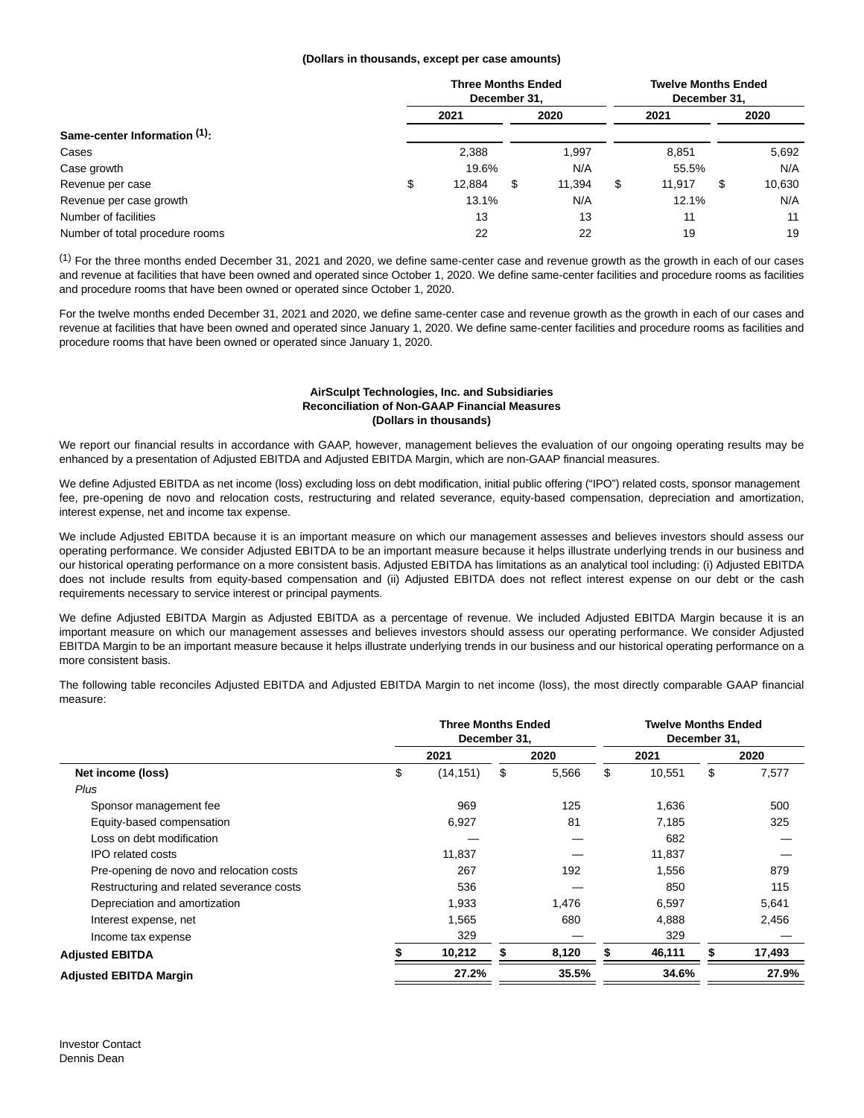#### **(Dollars in thousands, except per case amounts)**

|                                 | <b>Three Months Ended</b><br>December 31, |    |        | <b>Twelve Months Ended</b><br>December 31, |        |   |        |
|---------------------------------|-------------------------------------------|----|--------|--------------------------------------------|--------|---|--------|
|                                 | 2021                                      |    | 2020   |                                            | 2021   |   | 2020   |
| Same-center Information (1):    |                                           |    |        |                                            |        |   |        |
| Cases                           | 2.388                                     |    | 1.997  |                                            | 8.851  |   | 5,692  |
| Case growth                     | 19.6%                                     |    | N/A    |                                            | 55.5%  |   | N/A    |
| Revenue per case                | \$<br>12.884                              | \$ | 11.394 | \$                                         | 11.917 | S | 10,630 |
| Revenue per case growth         | 13.1%                                     |    | N/A    |                                            | 12.1%  |   | N/A    |
| Number of facilities            | 13                                        |    | 13     |                                            | 11     |   | 11     |
| Number of total procedure rooms | 22                                        |    | 22     |                                            | 19     |   | 19     |

 $<sup>(1)</sup>$  For the three months ended December 31, 2021 and 2020, we define same-center case and revenue growth as the growth in each of our cases</sup> and revenue at facilities that have been owned and operated since October 1, 2020. We define same-center facilities and procedure rooms as facilities and procedure rooms that have been owned or operated since October 1, 2020.

For the twelve months ended December 31, 2021 and 2020, we define same-center case and revenue growth as the growth in each of our cases and revenue at facilities that have been owned and operated since January 1, 2020. We define same-center facilities and procedure rooms as facilities and procedure rooms that have been owned or operated since January 1, 2020.

# **AirSculpt Technologies, Inc. and Subsidiaries Reconciliation of Non-GAAP Financial Measures (Dollars in thousands)**

We report our financial results in accordance with GAAP, however, management believes the evaluation of our ongoing operating results may be enhanced by a presentation of Adjusted EBITDA and Adjusted EBITDA Margin, which are non-GAAP financial measures.

We define Adjusted EBITDA as net income (loss) excluding loss on debt modification, initial public offering ("IPO") related costs, sponsor management fee, pre-opening de novo and relocation costs, restructuring and related severance, equity-based compensation, depreciation and amortization, interest expense, net and income tax expense.

We include Adjusted EBITDA because it is an important measure on which our management assesses and believes investors should assess our operating performance. We consider Adjusted EBITDA to be an important measure because it helps illustrate underlying trends in our business and our historical operating performance on a more consistent basis. Adjusted EBITDA has limitations as an analytical tool including: (i) Adjusted EBITDA does not include results from equity-based compensation and (ii) Adjusted EBITDA does not reflect interest expense on our debt or the cash requirements necessary to service interest or principal payments.

We define Adjusted EBITDA Margin as Adjusted EBITDA as a percentage of revenue. We included Adjusted EBITDA Margin because it is an important measure on which our management assesses and believes investors should assess our operating performance. We consider Adjusted EBITDA Margin to be an important measure because it helps illustrate underlying trends in our business and our historical operating performance on a more consistent basis.

The following table reconciles Adjusted EBITDA and Adjusted EBITDA Margin to net income (loss), the most directly comparable GAAP financial measure:

|                                           | <b>Three Months Ended</b><br>December 31, |           |    |       | <b>Twelve Months Ended</b><br>December 31, |        |    |        |  |
|-------------------------------------------|-------------------------------------------|-----------|----|-------|--------------------------------------------|--------|----|--------|--|
|                                           |                                           | 2021      |    | 2020  |                                            | 2021   |    | 2020   |  |
| Net income (loss)                         | \$                                        | (14, 151) | \$ | 5,566 | \$                                         | 10,551 | \$ | 7,577  |  |
| Plus                                      |                                           |           |    |       |                                            |        |    |        |  |
| Sponsor management fee                    |                                           | 969       |    | 125   |                                            | 1,636  |    | 500    |  |
| Equity-based compensation                 |                                           | 6,927     |    | 81    |                                            | 7,185  |    | 325    |  |
| Loss on debt modification                 |                                           |           |    |       |                                            | 682    |    |        |  |
| <b>IPO</b> related costs                  |                                           | 11,837    |    |       |                                            | 11,837 |    |        |  |
| Pre-opening de novo and relocation costs  |                                           | 267       |    | 192   |                                            | 1,556  |    | 879    |  |
| Restructuring and related severance costs |                                           | 536       |    |       |                                            | 850    |    | 115    |  |
| Depreciation and amortization             |                                           | 1,933     |    | 1,476 |                                            | 6,597  |    | 5,641  |  |
| Interest expense, net                     |                                           | 1,565     |    | 680   |                                            | 4,888  |    | 2,456  |  |
| Income tax expense                        |                                           | 329       |    |       |                                            | 329    |    |        |  |
| <b>Adjusted EBITDA</b>                    |                                           | 10,212    |    | 8,120 |                                            | 46,111 |    | 17,493 |  |
| <b>Adjusted EBITDA Margin</b>             |                                           | 27.2%     |    | 35.5% |                                            | 34.6%  |    | 27.9%  |  |
|                                           |                                           |           |    |       |                                            |        |    |        |  |